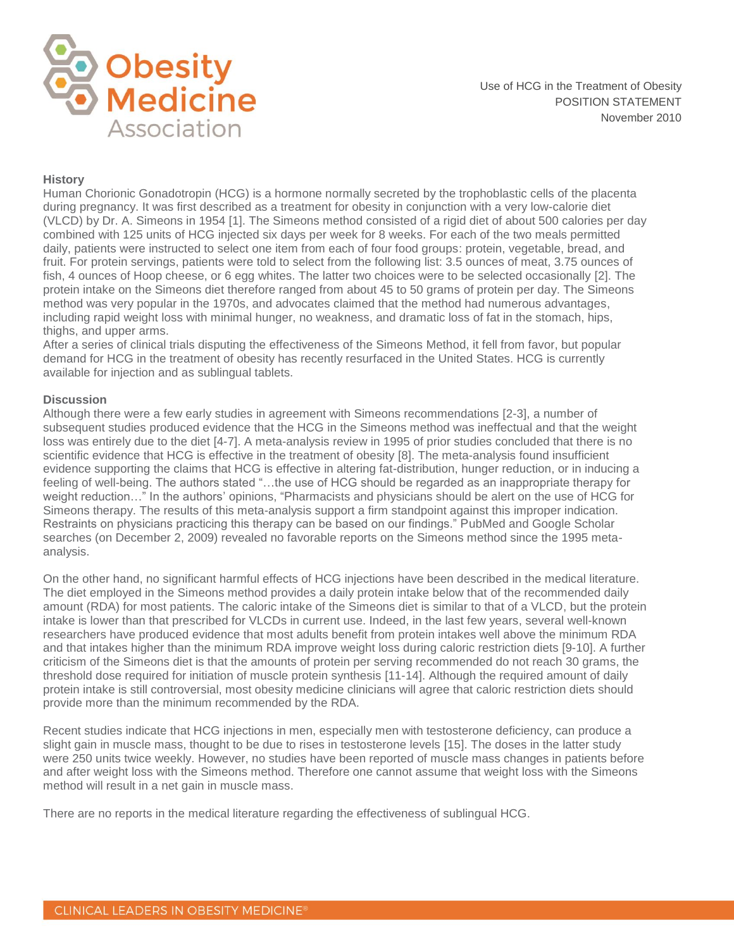

#### **History**

Human Chorionic Gonadotropin (HCG) is a hormone normally secreted by the trophoblastic cells of the placenta during pregnancy. It was first described as a treatment for obesity in conjunction with a very low-calorie diet (VLCD) by Dr. A. Simeons in 1954 [1]. The Simeons method consisted of a rigid diet of about 500 calories per day combined with 125 units of HCG injected six days per week for 8 weeks. For each of the two meals permitted daily, patients were instructed to select one item from each of four food groups: protein, vegetable, bread, and fruit. For protein servings, patients were told to select from the following list: 3.5 ounces of meat, 3.75 ounces of fish, 4 ounces of Hoop cheese, or 6 egg whites. The latter two choices were to be selected occasionally [2]. The protein intake on the Simeons diet therefore ranged from about 45 to 50 grams of protein per day. The Simeons method was very popular in the 1970s, and advocates claimed that the method had numerous advantages, including rapid weight loss with minimal hunger, no weakness, and dramatic loss of fat in the stomach, hips, thighs, and upper arms.

After a series of clinical trials disputing the effectiveness of the Simeons Method, it fell from favor, but popular demand for HCG in the treatment of obesity has recently resurfaced in the United States. HCG is currently available for injection and as sublingual tablets.

## **Discussion**

Although there were a few early studies in agreement with Simeons recommendations [2-3], a number of subsequent studies produced evidence that the HCG in the Simeons method was ineffectual and that the weight loss was entirely due to the diet [4-7]. A meta-analysis review in 1995 of prior studies concluded that there is no scientific evidence that HCG is effective in the treatment of obesity [8]. The meta-analysis found insufficient evidence supporting the claims that HCG is effective in altering fat-distribution, hunger reduction, or in inducing a feeling of well-being. The authors stated "…the use of HCG should be regarded as an inappropriate therapy for weight reduction…" In the authors' opinions, "Pharmacists and physicians should be alert on the use of HCG for Simeons therapy. The results of this meta-analysis support a firm standpoint against this improper indication. Restraints on physicians practicing this therapy can be based on our findings." PubMed and Google Scholar searches (on December 2, 2009) revealed no favorable reports on the Simeons method since the 1995 metaanalysis.

On the other hand, no significant harmful effects of HCG injections have been described in the medical literature. The diet employed in the Simeons method provides a daily protein intake below that of the recommended daily amount (RDA) for most patients. The caloric intake of the Simeons diet is similar to that of a VLCD, but the protein intake is lower than that prescribed for VLCDs in current use. Indeed, in the last few years, several well-known researchers have produced evidence that most adults benefit from protein intakes well above the minimum RDA and that intakes higher than the minimum RDA improve weight loss during caloric restriction diets [9-10]. A further criticism of the Simeons diet is that the amounts of protein per serving recommended do not reach 30 grams, the threshold dose required for initiation of muscle protein synthesis [11-14]. Although the required amount of daily protein intake is still controversial, most obesity medicine clinicians will agree that caloric restriction diets should provide more than the minimum recommended by the RDA.

Recent studies indicate that HCG injections in men, especially men with testosterone deficiency, can produce a slight gain in muscle mass, thought to be due to rises in testosterone levels [15]. The doses in the latter study were 250 units twice weekly. However, no studies have been reported of muscle mass changes in patients before and after weight loss with the Simeons method. Therefore one cannot assume that weight loss with the Simeons method will result in a net gain in muscle mass.

There are no reports in the medical literature regarding the effectiveness of sublingual HCG.